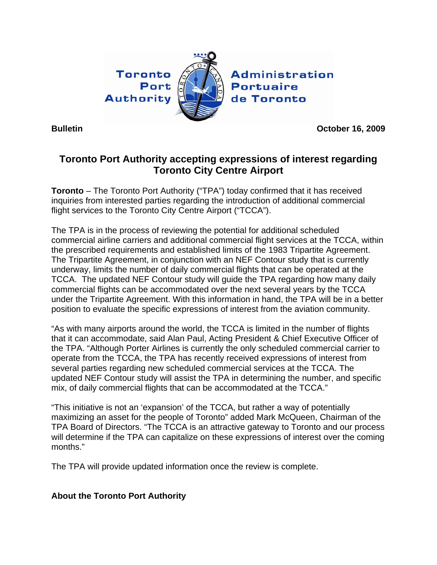

**Administration Portuaire** de Toronto

**Bulletin October 16, 2009** 

## **Toronto Port Authority accepting expressions of interest regarding Toronto City Centre Airport**

**Toronto** – The Toronto Port Authority ("TPA") today confirmed that it has received inquiries from interested parties regarding the introduction of additional commercial flight services to the Toronto City Centre Airport ("TCCA").

The TPA is in the process of reviewing the potential for additional scheduled commercial airline carriers and additional commercial flight services at the TCCA, within the prescribed requirements and established limits of the 1983 Tripartite Agreement. The Tripartite Agreement, in conjunction with an NEF Contour study that is currently underway, limits the number of daily commercial flights that can be operated at the TCCA. The updated NEF Contour study will guide the TPA regarding how many daily commercial flights can be accommodated over the next several years by the TCCA under the Tripartite Agreement. With this information in hand, the TPA will be in a better position to evaluate the specific expressions of interest from the aviation community.

"As with many airports around the world, the TCCA is limited in the number of flights that it can accommodate, said Alan Paul, Acting President & Chief Executive Officer of the TPA. "Although Porter Airlines is currently the only scheduled commercial carrier to operate from the TCCA, the TPA has recently received expressions of interest from several parties regarding new scheduled commercial services at the TCCA. The updated NEF Contour study will assist the TPA in determining the number, and specific mix, of daily commercial flights that can be accommodated at the TCCA."

"This initiative is not an 'expansion' of the TCCA, but rather a way of potentially maximizing an asset for the people of Toronto" added Mark McQueen, Chairman of the TPA Board of Directors. "The TCCA is an attractive gateway to Toronto and our process will determine if the TPA can capitalize on these expressions of interest over the coming months."

The TPA will provide updated information once the review is complete.

## **About the Toronto Port Authority**